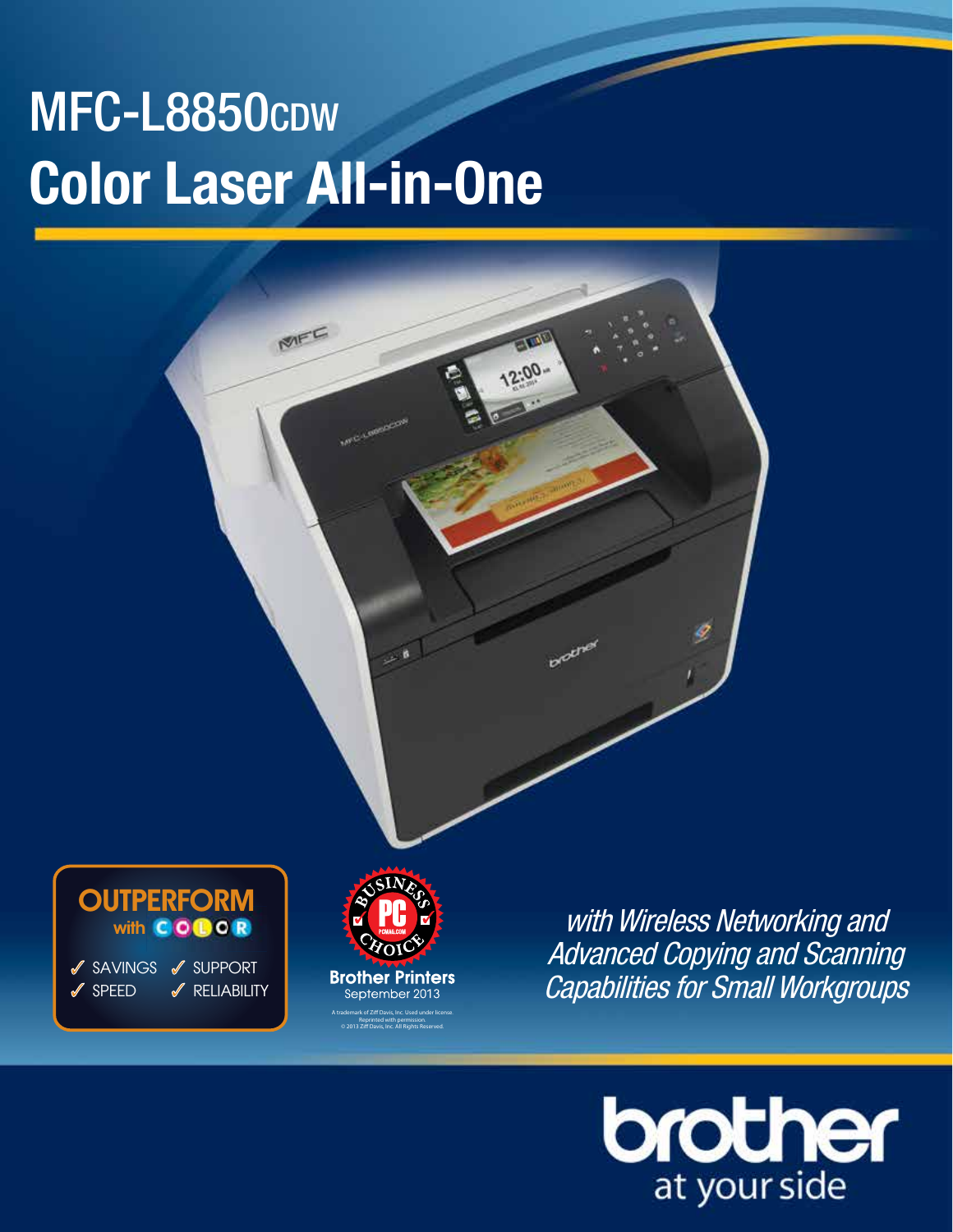# MFC-L8850cpw **Color Laser All-in-One**

MEC

 $0<sub>0</sub>$ 



**Brother Printers** September 2013 A trademark of Ziff Davis, Inc. Used under license. Reprinted with permission. © 2013 Ziff Davis, Inc. All Rights Reserved.

with Wireless Networking and Advanced Copying and Scanning Capabilities for Small Workgroups



# **OUTPERFORM** with **GOBOR**

✓ SAVINGS ✓ SUPPORT **SPFFD** ✓ RELIABILITY